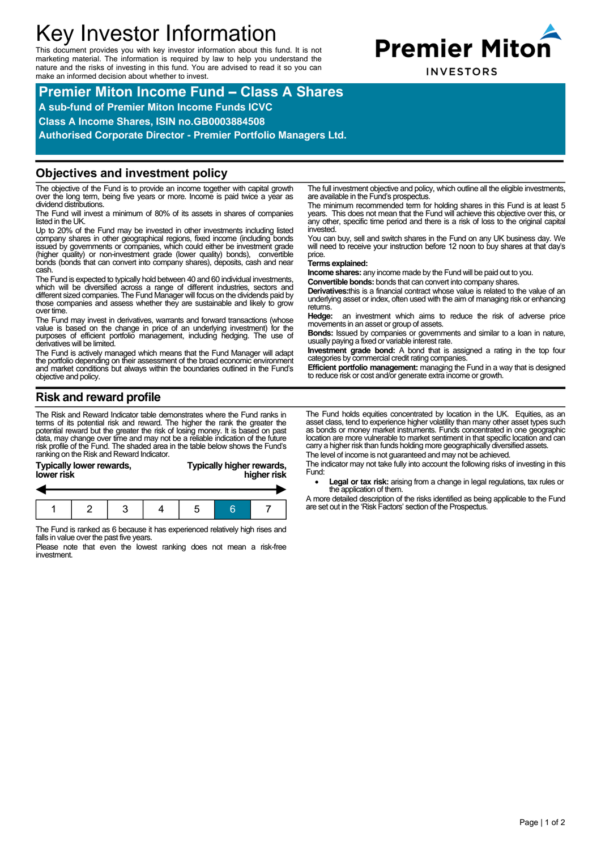# Key Investor Information

This document provides you with key investor information about this fund. It is not marketing material. The information is required by law to help you understand the nature and the risks of investing in this fund. You are advised to read it so you can make an informed decision about whether to invest.



**Premier Miton Income Fund – Class A Shares A sub-fund of Premier Miton Income Funds ICVC Class A Income Shares, ISIN no.GB0003884508**

**Authorised Corporate Director - Premier Portfolio Managers Ltd.**

#### **Objectives and investment policy**

The objective of the Fund is to provide an income together with capital growth over the long term, being five years or more. Income is paid twice a year as dividend distributions.

The Fund will invest a minimum of 80% of its assets in shares of companies listed in the UK.

Up to 20% of the Fund may be invested in other investments including listed company shares in other geographical regions, fixed income (including bonds issued by governments or companies, which could either be investment grade (higher quality) or non-investment grade (lower quality) bonds), convertible bonds (bonds that can convert into company shares), deposits, cash and near cash.

The Fund is expected to typically hold between 40 and 60 individual investments, which will be diversified across a range of different industries, sectors and different sized companies. The Fund Manager will focus on the dividends paid by those companies and assess whether they are sustainable and likely to grow over time.

The Fund may invest in derivatives, warrants and forward transactions (whose value is based on the change in price of an underlying investment) for the purposes of efficient portfolio management, including hedging. The use of derivatives will be limited.

The Fund is actively managed which means that the Fund Manager will adapt the portfolio depending on their assessment of the broad economic environment and market conditions but always within the boundaries outlined in the Fund's objective and policy.

**Risk and reward profile**

The Risk and Reward Indicator table demonstrates where the Fund ranks in terms of its potential risk and reward. The higher the rank the greater the potential reward but the greater the risk of losing money. It is based on past data, may change over time and may not be a reliable indication of the future risk profile of the Fund. The shaded area in the table below shows the Fund's ranking on the Risk and Reward Indicator.

| lower risk | Typically lower rewards, |  |  | Typically higher rewards,<br>higher risk |  |  |  |
|------------|--------------------------|--|--|------------------------------------------|--|--|--|
|            |                          |  |  |                                          |  |  |  |
|            |                          |  |  |                                          |  |  |  |

The Fund is ranked as 6 because it has experienced relatively high rises and falls in value over the past five years.

Please note that even the lowest ranking does not mean a risk-free investment.

The full investment objective and policy, which outline all the eligible investments, are available in the Fund's prospectus.

The minimum recommended term for holding shares in this Fund is at least 5 years. This does not mean that the Fund will achieve this objective over this, or any other, specific time period and there is a risk of loss to the original capital invested.

You can buy, sell and switch shares in the Fund on any UK business day. We will need to receive your instruction before 12 noon to buy shares at that day's price.

#### **Terms explained:**

**Income shares:** any income made by the Fund will be paid out to you.

**Convertible bonds:** bonds that can convert into company shares.

**Derivatives:**this is a financial contract whose value is related to the value of an underlying asset or index, often used with the aim of managing risk or enhancing returns.

**Hedge:** an investment which aims to reduce the risk of adverse price movements in an asset or group of assets.

**Bonds:** Issued by companies or governments and similar to a loan in nature, usually paying a fixed or variable interest rate.

**Investment grade bond:** A bond that is assigned a rating in the top four categories by commercial credit rating companies.

**Efficient portfolio management:** managing the Fund in a way that is designed to reduce risk or cost and/or generate extra income or growth.

The Fund holds equities concentrated by location in the UK. Equities, as an asset class, tend to experience higher volatility than many other asset types such as bonds or money market instruments. Funds concentrated in one geographic location are more vulnerable to market sentiment in that specific location and can carry a higher risk than funds holding more geographically diversified assets.

The level of income is not guaranteed and may not be achieved.

The indicator may not take fully into account the following risks of investing in this Fund:

 **Legal or tax risk:** arising from a change in legal regulations, tax rules or the application of them.

A more detailed description of the risks identified as being applicable to the Fund are set out in the 'Risk Factors' section of the Prospectus.